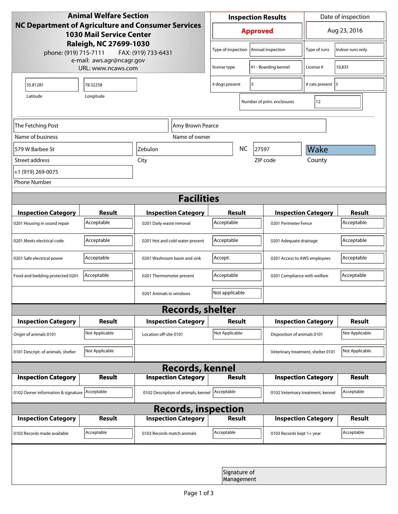| <b>Animal Welfare Section</b><br><b>NC Department of Agriculture and Consumer Services</b><br><b>1030 Mail Service Center</b><br>Raleigh, NC 27699-1030<br>phone: (919) 715-7111<br>FAX: (919) 733-6431<br>e-mail: aws.agr@ncagr.gov |                    |                                     | <b>Inspection Results</b>  |                      |                                    | Date of inspection           |                      |  |
|--------------------------------------------------------------------------------------------------------------------------------------------------------------------------------------------------------------------------------------|--------------------|-------------------------------------|----------------------------|----------------------|------------------------------------|------------------------------|----------------------|--|
|                                                                                                                                                                                                                                      |                    |                                     | <b>Approved</b>            |                      |                                    | Aug 23, 2016                 |                      |  |
|                                                                                                                                                                                                                                      |                    |                                     | Type of inspection         |                      | Annual inspection                  | Type of runs                 | Indoor runs only     |  |
|                                                                                                                                                                                                                                      | URL: www.ncaws.com | license type                        |                            | 41 - Boarding kennel | License #                          | 10,835                       |                      |  |
| 35.81281                                                                                                                                                                                                                             | 78.32258           |                                     | 5<br># dogs present        |                      |                                    | # cats present 5             |                      |  |
| Longitude<br>Latitude                                                                                                                                                                                                                |                    |                                     |                            |                      | Number of prim. enclosures         | 12                           |                      |  |
| The Fetching Post                                                                                                                                                                                                                    | Amy Brown Pearce   |                                     |                            |                      |                                    |                              |                      |  |
| Name of business                                                                                                                                                                                                                     |                    | Name of owner                       |                            |                      |                                    |                              |                      |  |
| 579 W Barbee St                                                                                                                                                                                                                      |                    | <b>Zebulon</b>                      | NC                         |                      | 27597                              | Wake                         |                      |  |
| Street address                                                                                                                                                                                                                       |                    | City                                |                            |                      | ZIP code                           | County                       |                      |  |
| +1 (919) 269-0075                                                                                                                                                                                                                    |                    |                                     |                            |                      |                                    |                              |                      |  |
| <b>Phone Number</b>                                                                                                                                                                                                                  |                    |                                     |                            |                      |                                    |                              |                      |  |
| <b>Facilities</b>                                                                                                                                                                                                                    |                    |                                     |                            |                      |                                    |                              |                      |  |
| <b>Inspection Category</b>                                                                                                                                                                                                           | <b>Result</b>      | <b>Inspection Category</b>          | <b>Result</b>              |                      |                                    | <b>Inspection Category</b>   |                      |  |
| 0201 Housing in sound repair                                                                                                                                                                                                         | Acceptable         | 0201 Daily waste removal            | Acceptable                 | 0201 Perimeter Fence |                                    |                              | Result<br>Acceptable |  |
| 0201 Meets electrical code                                                                                                                                                                                                           | Acceptable         | 0201 Hot and cold water present     | Acceptable                 |                      | 0201 Adequate drainage             |                              | Acceptable           |  |
| 0201 Safe electrical power                                                                                                                                                                                                           | Acceptable         | 0201 Washroom basin and sink        | Accept.                    |                      |                                    | 0201 Access to AWS employees |                      |  |
| Food and bedding protected 0201                                                                                                                                                                                                      | Acceptable         | 0201 Thermometer present            | Acceptable                 |                      |                                    | 0201 Compliance with welfare |                      |  |
|                                                                                                                                                                                                                                      |                    | 0201 Animals in windows             | Not applicable             |                      |                                    |                              |                      |  |
| <b>Records, shelter</b>                                                                                                                                                                                                              |                    |                                     |                            |                      |                                    |                              |                      |  |
| <b>Inspection Category</b>                                                                                                                                                                                                           | <b>Result</b>      | <b>Inspection Category</b>          | <b>Result</b>              |                      |                                    | <b>Inspection Category</b>   | Result               |  |
| Origin of animals 0101                                                                                                                                                                                                               | Not Applicable     | Location off-site 0101              | Not Applicable             |                      |                                    | Disposition of animals 0101  |                      |  |
| 0101 Descript. of animals, shelter                                                                                                                                                                                                   | Not Applicable     |                                     |                            |                      | Veterinary treatment, shelter 0101 |                              | Not Applicable       |  |
| <b>Records, kennel</b>                                                                                                                                                                                                               |                    |                                     |                            |                      |                                    |                              |                      |  |
| <b>Inspection Category</b>                                                                                                                                                                                                           | Result             | <b>Inspection Category</b>          | <b>Result</b>              |                      |                                    | <b>Inspection Category</b>   | Result               |  |
| 0102 Owner information & signature Acceptable                                                                                                                                                                                        |                    | 0102 Description of animals, kennel | Acceptable                 |                      | 0102 Veterinary treatment, kennel  |                              | Acceptable           |  |
| <b>Records, inspection</b>                                                                                                                                                                                                           |                    |                                     |                            |                      |                                    |                              |                      |  |
| <b>Inspection Category</b>                                                                                                                                                                                                           | Result             | <b>Inspection Category</b>          | <b>Result</b>              |                      |                                    | <b>Inspection Category</b>   | <b>Result</b>        |  |
| 0103 Records made available                                                                                                                                                                                                          | Acceptable         | 0103 Records match animals          | Acceptable                 |                      | 0103 Records kept 1+ year          |                              | Acceptable           |  |
|                                                                                                                                                                                                                                      |                    |                                     |                            |                      |                                    |                              |                      |  |
|                                                                                                                                                                                                                                      |                    |                                     | Signature of<br>Management |                      |                                    |                              |                      |  |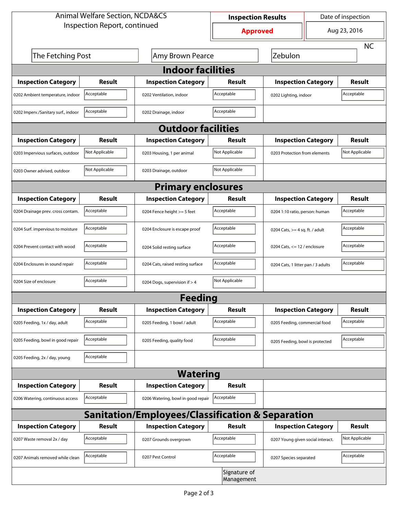| <b>Animal Welfare Section, NCDA&amp;CS</b>                  |                |                                    | <b>Inspection Results</b> |                                     | Date of inspection |                |  |  |
|-------------------------------------------------------------|----------------|------------------------------------|---------------------------|-------------------------------------|--------------------|----------------|--|--|
| Inspection Report, continued                                |                |                                    | <b>Approved</b>           |                                     | Aug 23, 2016       |                |  |  |
|                                                             |                |                                    |                           |                                     |                    | <b>NC</b>      |  |  |
| The Fetching Post<br>Amy Brown Pearce                       |                |                                    |                           | Zebulon                             |                    |                |  |  |
| <b>Indoor facilities</b>                                    |                |                                    |                           |                                     |                    |                |  |  |
| <b>Inspection Category</b>                                  | Result         | <b>Inspection Category</b>         | Result                    | <b>Inspection Category</b>          |                    | Result         |  |  |
| 0202 Ambient temperature, indoor                            | Acceptable     | 0202 Ventilation, indoor           | Acceptable                | Acceptable<br>0202 Lighting, indoor |                    |                |  |  |
| 0202 Imperv./Sanitary surf., indoor                         | Acceptable     | 0202 Drainage, indoor              | Acceptable                |                                     |                    |                |  |  |
| <b>Outdoor facilities</b>                                   |                |                                    |                           |                                     |                    |                |  |  |
| <b>Inspection Category</b>                                  | Result         | <b>Inspection Category</b>         | Result                    | <b>Inspection Category</b>          |                    | Result         |  |  |
| 0203 Impervious surfaces, outdoor                           | Not Applicable | 0203 Housing, 1 per animal         | Not Applicable            | 0203 Protection from elements       |                    | Not Applicable |  |  |
| 0203 Owner advised, outdoor                                 | Not Applicable | 0203 Drainage, outdoor             | Not Applicable            |                                     |                    |                |  |  |
| <b>Primary enclosures</b>                                   |                |                                    |                           |                                     |                    |                |  |  |
| <b>Inspection Category</b>                                  | Result         | <b>Inspection Category</b>         | Result                    | <b>Inspection Category</b>          |                    | Result         |  |  |
| 0204 Drainage prev. cross contam.                           | Acceptable     | 0204 Fence height >= 5 feet        | Acceptable                | 0204 1:10 ratio, person: human      |                    | Acceptable     |  |  |
| 0204 Surf. impervious to moisture                           | Acceptable     | 0204 Enclosure is escape proof     | Acceptable                | 0204 Cats, $>=$ 4 sq. ft. / adult   |                    | Acceptable     |  |  |
| 0204 Prevent contact with wood                              | Acceptable     | 0204 Solid resting surface         | Acceptable                | 0204 Cats, $<= 12$ / enclosure      |                    | Acceptable     |  |  |
| 0204 Enclosures in sound repair                             | Acceptable     | 0204 Cats, raised resting surface  | Acceptable                | 0204 Cats, 1 litter pan / 3 adults  |                    | Acceptable     |  |  |
| 0204 Size of enclosure                                      | Acceptable     | 0204 Dogs, supervision if > 4      | Not Applicable            |                                     |                    |                |  |  |
|                                                             |                | <b>Feeding</b>                     |                           |                                     |                    |                |  |  |
| <b>Inspection Category</b>                                  | <b>Result</b>  | <b>Inspection Category</b>         | <b>Result</b>             | <b>Inspection Category</b>          |                    | <b>Result</b>  |  |  |
| 0205 Feeding, 1x / day, adult                               | Acceptable     | 0205 Feeding, 1 bowl / adult       | Acceptable                | 0205 Feeding, commercial food       |                    | Acceptable     |  |  |
| 0205 Feeding, bowl in good repair                           | Acceptable     | 0205 Feeding, quality food         | Acceptable                | 0205 Feeding, bowl is protected     |                    | Acceptable     |  |  |
| 0205 Feeding, 2x / day, young                               | Acceptable     |                                    |                           |                                     |                    |                |  |  |
|                                                             |                | <b>Watering</b>                    |                           |                                     |                    |                |  |  |
| <b>Inspection Category</b>                                  | <b>Result</b>  | <b>Inspection Category</b>         | <b>Result</b>             |                                     |                    |                |  |  |
| 0206 Watering, continuous access                            | Acceptable     | 0206 Watering, bowl in good repair | Acceptable                |                                     |                    |                |  |  |
| <b>Sanitation/Employees/Classification &amp; Separation</b> |                |                                    |                           |                                     |                    |                |  |  |
| <b>Inspection Category</b>                                  | <b>Result</b>  | <b>Inspection Category</b>         | Result                    | <b>Inspection Category</b>          |                    | <b>Result</b>  |  |  |
| 0207 Waste removal 2x / day                                 | Acceptable     | 0207 Grounds overgrown             | Acceptable                | 0207 Young given social interact.   |                    | Not Applicable |  |  |
| 0207 Animals removed while clean                            | Acceptable     | 0207 Pest Control                  | Acceptable                | 0207 Species separated              |                    | Acceptable     |  |  |
| Signature of<br>Management                                  |                |                                    |                           |                                     |                    |                |  |  |